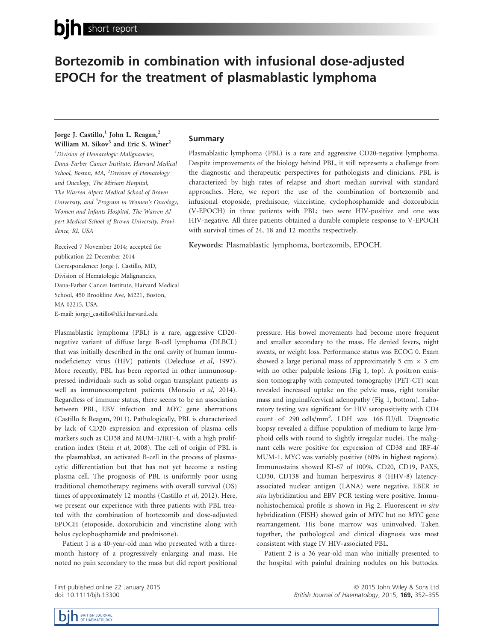# Bortezomib in combination with infusional dose-adjusted EPOCH for the treatment of plasmablastic lymphoma

## Jorge J. Castillo,<sup>1</sup> John L. Reagan,<sup>2</sup> William M. Sikov<sup>3</sup> and Eric S. Winer<sup>2</sup>

<sup>1</sup>Division of Hematologic Malignancies, Dana-Farber Cancer Institute, Harvard Medical School, Boston, MA, <sup>2</sup>Division of Hematology and Oncology, The Miriam Hospital, The Warren Alpert Medical School of Brown University, and <sup>3</sup>Program in Women's Oncology, Women and Infants Hospital, The Warren Alpert Medical School of Brown University, Providence, RI, USA

Received 7 November 2014; accepted for publication 22 December 2014 Correspondence: Jorge J. Castillo, MD, Division of Hematologic Malignancies, Dana-Farber Cancer Institute, Harvard Medical School, 450 Brookline Ave, M221, Boston, MA 02215, USA. E-mail: jorgej\_castillo@dfci.harvard.edu

Plasmablastic lymphoma (PBL) is a rare, aggressive CD20 negative variant of diffuse large B-cell lymphoma (DLBCL) that was initially described in the oral cavity of human immunodeficiency virus (HIV) patients (Delecluse et al, 1997). More recently, PBL has been reported in other immunosuppressed individuals such as solid organ transplant patients as well as immunocompetent patients (Morscio et al, 2014). Regardless of immune status, there seems to be an association between PBL, EBV infection and MYC gene aberrations (Castillo & Reagan, 2011). Pathologically, PBL is characterized by lack of CD20 expression and expression of plasma cells markers such as CD38 and MUM-1/IRF-4, with a high proliferation index (Stein et al, 2008). The cell of origin of PBL is the plasmablast, an activated B-cell in the process of plasmacytic differentiation but that has not yet become a resting plasma cell. The prognosis of PBL is uniformly poor using traditional chemotherapy regimens with overall survival (OS) times of approximately 12 months (Castillo et al, 2012). Here, we present our experience with three patients with PBL treated with the combination of bortezomib and dose-adjusted EPOCH (etoposide, doxorubicin and vincristine along with bolus cyclophosphamide and prednisone).

Patient 1 is a 40-year-old man who presented with a threemonth history of a progressively enlarging anal mass. He noted no pain secondary to the mass but did report positional

First published online 22 January 2015 doi: 10.1111/bjh.13300

### Summary

Plasmablastic lymphoma (PBL) is a rare and aggressive CD20-negative lymphoma. Despite improvements of the biology behind PBL, it still represents a challenge from the diagnostic and therapeutic perspectives for pathologists and clinicians. PBL is characterized by high rates of relapse and short median survival with standard approaches. Here, we report the use of the combination of bortezomib and infusional etoposide, prednisone, vincristine, cyclophosphamide and doxorubicin (V-EPOCH) in three patients with PBL; two were HIV-positive and one was HIV-negative. All three patients obtained a durable complete response to V-EPOCH with survival times of 24, 18 and 12 months respectively.

Keywords: Plasmablastic lymphoma, bortezomib, EPOCH.

pressure. His bowel movements had become more frequent and smaller secondary to the mass. He denied fevers, night sweats, or weight loss. Performance status was ECOG 0. Exam showed a large perianal mass of approximately 5 cm  $\times$  3 cm with no other palpable lesions (Fig 1, top). A positron emission tomography with computed tomography (PET-CT) scan revealed increased uptake on the pelvic mass, right tonsilar mass and inguinal/cervical adenopathy (Fig 1, bottom). Laboratory testing was significant for HIV seropositivity with CD4 count of 290 cells/mm<sup>3</sup> . LDH was 166 IU/dl. Diagnostic biopsy revealed a diffuse population of medium to large lymphoid cells with round to slightly irregular nuclei. The malignant cells were positive for expression of CD38 and IRF-4/ MUM-1. MYC was variably positive (60% in highest regions). Immunostains showed KI-67 of 100%. CD20, CD19, PAX5, CD30, CD138 and human herpesvirus 8 (HHV-8) latencyassociated nuclear antigen (LANA) were negative. EBER in situ hybridization and EBV PCR testing were positive. Immunohistochemical profile is shown in Fig 2. Fluorescent in situ hybridization (FISH) showed gain of MYC but no MYC gene rearrangement. His bone marrow was uninvolved. Taken together, the pathological and clinical diagnosis was most consistent with stage IV HIV-associated PBL.

Patient 2 is a 36 year-old man who initially presented to the hospital with painful draining nodules on his buttocks.

> ª 2015 John Wiley & Sons Ltd British Journal of Haematology, 2015, 169, 352–355

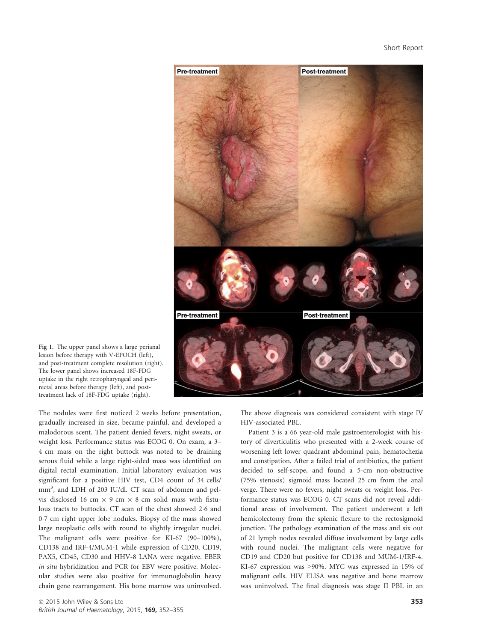

Fig 1. The upper panel shows a large perianal lesion before therapy with V-EPOCH (left), and post-treatment complete resolution (right). The lower panel shows increased 18F-FDG uptake in the right retropharyngeal and perirectal areas before therapy (left), and posttreatment lack of 18F-FDG uptake (right).

The nodules were first noticed 2 weeks before presentation, gradually increased in size, became painful, and developed a malodorous scent. The patient denied fevers, night sweats, or weight loss. Performance status was ECOG 0. On exam, a 3– 4 cm mass on the right buttock was noted to be draining serous fluid while a large right-sided mass was identified on digital rectal examination. Initial laboratory evaluation was significant for a positive HIV test, CD4 count of 34 cells/ mm<sup>3</sup>, and LDH of 203 IU/dl. CT scan of abdomen and pelvis disclosed 16 cm  $\times$  9 cm  $\times$  8 cm solid mass with fistulous tracts to buttocks. CT scan of the chest showed 26 and 07 cm right upper lobe nodules. Biopsy of the mass showed large neoplastic cells with round to slightly irregular nuclei. The malignant cells were positive for KI-67 (90–100%), CD138 and IRF-4/MUM-1 while expression of CD20, CD19, PAX5, CD45, CD30 and HHV-8 LANA were negative. EBER in situ hybridization and PCR for EBV were positive. Molecular studies were also positive for immunoglobulin heavy chain gene rearrangement. His bone marrow was uninvolved. The above diagnosis was considered consistent with stage IV HIV-associated PBL.

Patient 3 is a 66 year-old male gastroenterologist with history of diverticulitis who presented with a 2-week course of worsening left lower quadrant abdominal pain, hematochezia and constipation. After a failed trial of antibiotics, the patient decided to self-scope, and found a 5-cm non-obstructive (75% stenosis) sigmoid mass located 25 cm from the anal verge. There were no fevers, night sweats or weight loss. Performance status was ECOG 0. CT scans did not reveal additional areas of involvement. The patient underwent a left hemicolectomy from the splenic flexure to the rectosigmoid junction. The pathology examination of the mass and six out of 21 lymph nodes revealed diffuse involvement by large cells with round nuclei. The malignant cells were negative for CD19 and CD20 but positive for CD138 and MUM-1/IRF-4. KI-67 expression was >90%. MYC was expressed in 15% of malignant cells. HIV ELISA was negative and bone marrow was uninvolved. The final diagnosis was stage II PBL in an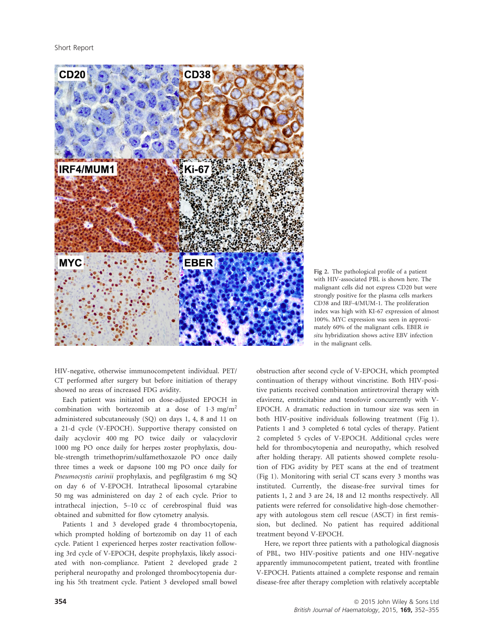Short Report



Fig 2. The pathological profile of a patient with HIV-associated PBL is shown here. The malignant cells did not express CD20 but were strongly positive for the plasma cells markers CD38 and IRF-4/MUM-1. The proliferation index was high with KI-67 expression of almost 100%. MYC expression was seen in approximately 60% of the malignant cells. EBER in situ hybridization shows active EBV infection in the malignant cells.

HIV-negative, otherwise immunocompetent individual. PET/ CT performed after surgery but before initiation of therapy showed no areas of increased FDG avidity.

Each patient was initiated on dose-adjusted EPOCH in combination with bortezomib at a dose of  $1.3 \text{ mg/m}^2$ administered subcutaneously (SQ) on days 1, 4, 8 and 11 on a 21-d cycle (V-EPOCH). Supportive therapy consisted on daily acyclovir 400 mg PO twice daily or valacyclovir 1000 mg PO once daily for herpes zoster prophylaxis, double-strength trimethoprim/sulfamethoxazole PO once daily three times a week or dapsone 100 mg PO once daily for Pneumocystis carinii prophylaxis, and pegfilgrastim 6 mg SQ on day 6 of V-EPOCH. Intrathecal liposomal cytarabine 50 mg was administered on day 2 of each cycle. Prior to intrathecal injection, 5–10 cc of cerebrospinal fluid was obtained and submitted for flow cytometry analysis.

Patients 1 and 3 developed grade 4 thrombocytopenia, which prompted holding of bortezomib on day 11 of each cycle. Patient 1 experienced herpes zoster reactivation following 3rd cycle of V-EPOCH, despite prophylaxis, likely associated with non-compliance. Patient 2 developed grade 2 peripheral neuropathy and prolonged thrombocytopenia during his 5th treatment cycle. Patient 3 developed small bowel obstruction after second cycle of V-EPOCH, which prompted continuation of therapy without vincristine. Both HIV-positive patients received combination antiretroviral therapy with efavirenz, emtricitabine and tenofovir concurrently with V-EPOCH. A dramatic reduction in tumour size was seen in both HIV-positive individuals following treatment (Fig 1). Patients 1 and 3 completed 6 total cycles of therapy. Patient 2 completed 5 cycles of V-EPOCH. Additional cycles were held for thrombocytopenia and neuropathy, which resolved after holding therapy. All patients showed complete resolution of FDG avidity by PET scans at the end of treatment (Fig 1). Monitoring with serial CT scans every 3 months was instituted. Currently, the disease-free survival times for patients 1, 2 and 3 are 24, 18 and 12 months respectively. All patients were referred for consolidative high-dose chemotherapy with autologous stem cell rescue (ASCT) in first remission, but declined. No patient has required additional treatment beyond V-EPOCH.

Here, we report three patients with a pathological diagnosis of PBL, two HIV-positive patients and one HIV-negative apparently immunocompetent patient, treated with frontline V-EPOCH. Patients attained a complete response and remain disease-free after therapy completion with relatively acceptable